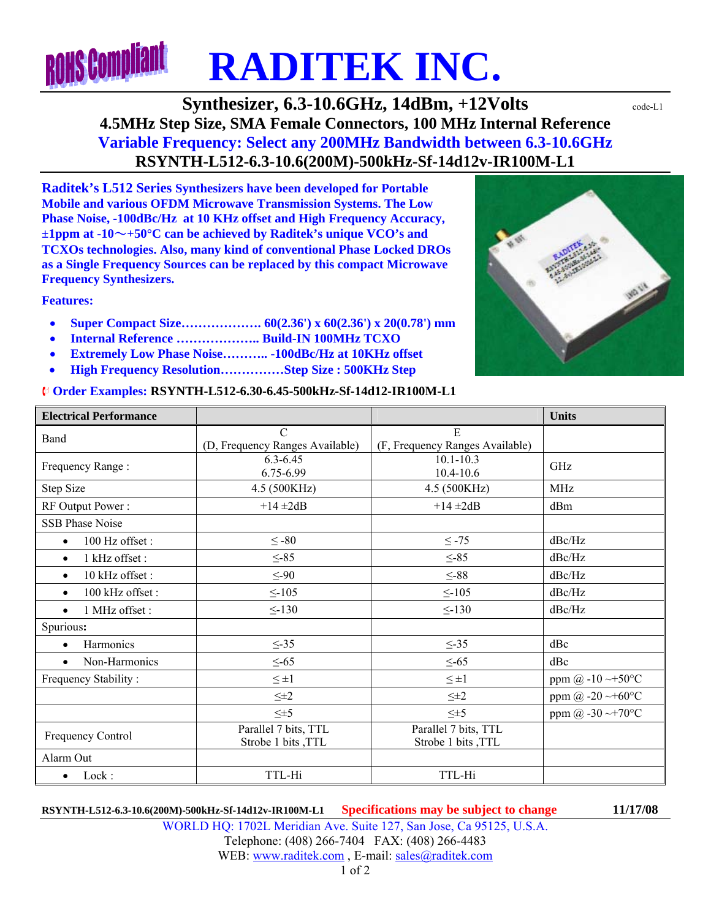# **ROHS Compliant RADITEK INC.**

**Synthesizer, 6.3-10.6GHz, 14dBm, +12Volts**  $\text{code-L1}$ **4.5MHz Step Size, SMA Female Connectors, 100 MHz Internal Reference Variable Frequency: Select any 200MHz Bandwidth between 6.3-10.6GHz RSYNTH-L512-6.3-10.6(200M)-500kHz-Sf-14d12v-IR100M-L1** 

**Raditek's L512 Series Synthesizers have been developed for Portable Mobile and various OFDM Microwave Transmission Systems. The Low Phase Noise, -100dBc/Hz at 10 KHz offset and High Frequency Accuracy, ±1ppm at -10**~**+50°C can be achieved by Raditek's unique VCO's and TCXOs technologies. Also, many kind of conventional Phase Locked DROs as a Single Frequency Sources can be replaced by this compact Microwave Frequency Synthesizers.** 

**Features:** 

- **Super Compact Size………………. 60(2.36') x 60(2.36') x 20(0.78') mm**
- **Internal Reference ……………….. Build-IN 100MHz TCXO**
- **Extremely Low Phase Noise……….. -100dBc/Hz at 10KHz offset**
- **High Frequency Resolution……………Step Size : 500KHz Step**

#### ¨ **Order Examples: RSYNTH-L512-6.30-6.45-500kHz-Sf-14d12-IR100M-L1**

| <i>©</i> Order Examples: RSYNTH-L512-6.30-6.45-500kHz-Sf-14d12-IR100M-L1 |                                                  |                                            |                                         |  |
|--------------------------------------------------------------------------|--------------------------------------------------|--------------------------------------------|-----------------------------------------|--|
| <b>Electrical Performance</b>                                            |                                                  |                                            | <b>Units</b>                            |  |
| <b>Band</b>                                                              | $\mathcal{C}$<br>(D, Frequency Ranges Available) | E<br>(F, Frequency Ranges Available)       |                                         |  |
| Frequency Range:                                                         | $6.3 - 6.45$<br>6.75-6.99                        | $10.1 - 10.3$<br>10.4-10.6                 | GHz                                     |  |
| Step Size                                                                | 4.5 (500KHz)                                     | 4.5 (500KHz)                               | <b>MHz</b>                              |  |
| RF Output Power:                                                         | $+14 \pm 2dB$                                    | $+14 \pm 2dB$                              | dBm                                     |  |
| SSB Phase Noise                                                          |                                                  |                                            |                                         |  |
| 100 Hz offset:<br>$\bullet$                                              | $\leq -80$                                       | $\leq$ -75                                 | dBc/Hz                                  |  |
| 1 kHz offset :<br>$\bullet$                                              | $\leq$ -85                                       | $\leq$ -85                                 | dBc/Hz                                  |  |
| 10 kHz offset:<br>$\bullet$                                              | $\leq -90$                                       | $\leq$ -88                                 | dBc/Hz                                  |  |
| 100 kHz offset:<br>$\bullet$                                             | $\leq$ -105                                      | $\leq$ -105                                | dBc/Hz                                  |  |
| 1 MHz offset:<br>$\bullet$                                               | $\leq$ -130                                      | < 130                                      | dBc/Hz                                  |  |
| Spurious:                                                                |                                                  |                                            |                                         |  |
| Harmonics<br>$\bullet$                                                   | $\leq$ -35                                       | $\leq$ 35                                  | dBc                                     |  |
| Non-Harmonics                                                            | $\leq 65$                                        | $\leq$ -65                                 | dBc                                     |  |
| Frequency Stability:                                                     | $\leq \pm 1$                                     | $\leq \pm 1$                               | ppm @ -10 $\rightarrow$ 50 $^{\circ}$ C |  |
|                                                                          | $\leq \pm 2$                                     | $\leq \pm 2$                               | ppm @ -20 $\sim$ +60 $^{\circ}$ C       |  |
|                                                                          | $\leq \pm 5$                                     | $\leq \pm 5$                               | ppm @ $-30 \rightarrow +70$ °C          |  |
| Frequency Control                                                        | Parallel 7 bits, TTL<br>Strobe 1 bits, TTL       | Parallel 7 bits, TTL<br>Strobe 1 bits ,TTL |                                         |  |
| Alarm Out                                                                |                                                  |                                            |                                         |  |

#### **RSYNTH-L512-6.3-10.6(200M)-500kHz-Sf-14d12v-IR100M-L1 Specifications may be subject to change 11/17/08**

• Lock : TTL-Hi TTL-Hi TTL-Hi

WORLD HQ: 1702L Meridian Ave. Suite 127, San Jose, Ca 95125, U.S.A. Telephone: (408) 266-7404 FAX: (408) 266-4483 WEB: www.raditek.com, E-mail: sales@raditek.com